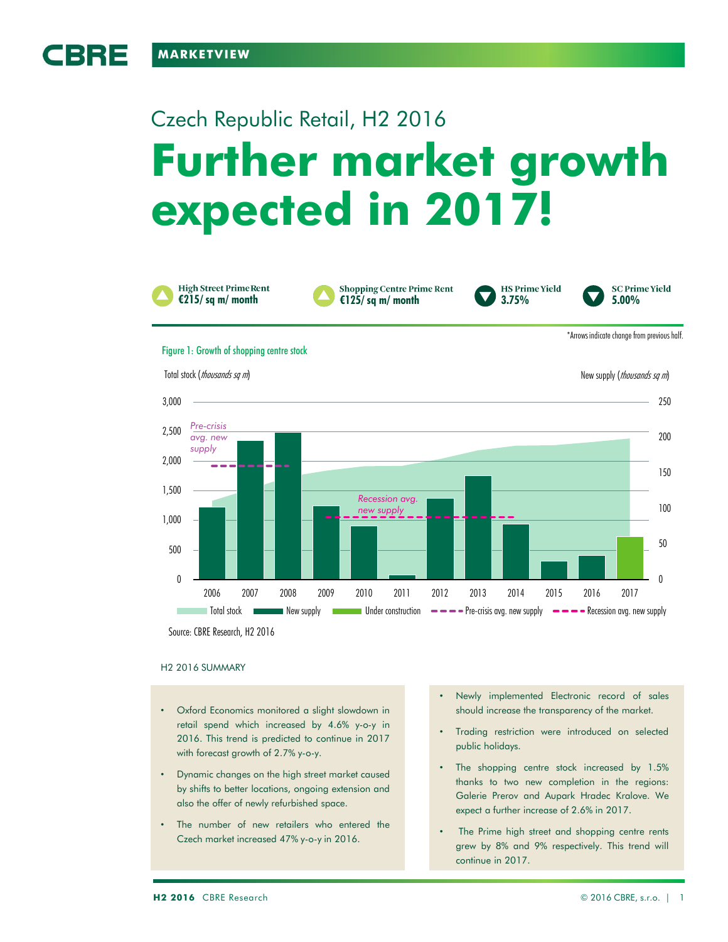CBRE

# **Further market growth expected in 2017!** Czech Republic Retail, H2 2016



**Shopping Centre Prime Rent €125/ sq m/ month 5.00%**



**SC Prime Yield** 

\*Arrows indicate change from previous half.

#### Figure 1: Growth of shopping centre stock



Source: CBRE Research, H2 2016

# H2 2016 SUMMARY

- Oxford Economics monitored a slight slowdown in retail spend which increased by 4.6% y-o-y in 2016. This trend is predicted to continue in 2017 with forecast growth of 2.7% y-o-y.
- Dynamic changes on the high street market caused by shifts to better locations, ongoing extension and also the offer of newly refurbished space.
- The number of new retailers who entered the Czech market increased 47% y-o-y in 2016.
- Newly implemented Electronic record of sales should increase the transparency of the market.
- Trading restriction were introduced on selected public holidays.
- The shopping centre stock increased by 1.5% thanks to two new completion in the regions: Galerie Prerov and Aupark Hradec Kralove. We expect a further increase of 2.6% in 2017.
- The Prime high street and shopping centre rents grew by 8% and 9% respectively. This trend will continue in 2017.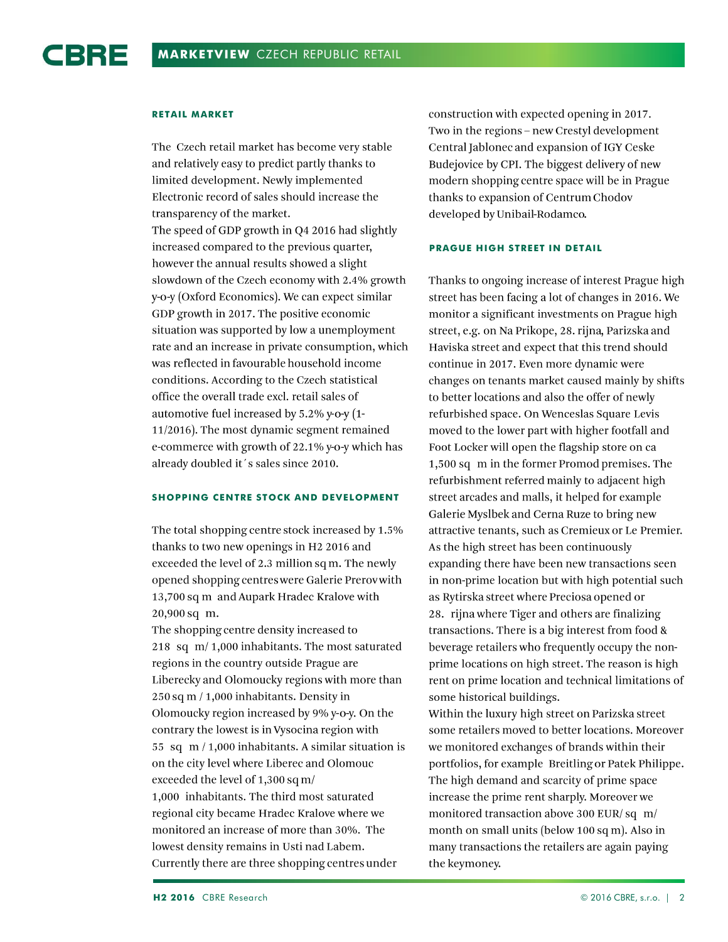# **RETAIL MARKET**

The Czech retail market has become very stable and relatively easy to predict partly thanks to limited development. Newly implemented Electronic record of sales should increase the transparency of the market. The speed of GDP growth in Q4 2016 had slightly increased compared to the previous quarter, however the annual results showed a slight slowdown of the Czech economy with 2.4% growth y-o-y (Oxford Economics). We can expect similar GDP growth in 2017. The positive economic situation was supported by low a unemployment rate and an increase in private consumption, which was reflected in favourable household income conditions. According to the Czech statistical office the overall trade excl. retail sales of automotive fuel increased by 5.2% y-o-y (1-11/2016). The most dynamic segment remained e-commerce with growth of 22.1% y-o-y which has already doubled it's sales since 2010.

# **SHOPPING CENTRE STOCK AND DEVELOPMENT**

The total shopping centre stock increased by 1.5% thanks to two new openings in H2 2016 and exceeded the level of 2.3 million sq m. The newly opened shopping centres were Galerie Prerov with 13,700 sq m and Aupark Hradec Kralove with 20,900 sq m.

The shopping centre density increased to 218 sq m/1,000 inhabitants. The most saturated regions in the country outside Prague are Liberecky and Olomoucky regions with more than  $250$  sq m  $/$  1,000 inhabitants. Density in Olomoucky region increased by 9% y-o-y. On the contrary the lowest is in Vysocina region with 55 sq  $m/1,000$  inhabitants. A similar situation is on the city level where Liberec and Olomouc exceeded the level of 1,300 sq m/ 1,000 inhabitants. The third most saturated regional city became Hradec Kralove where we monitored an increase of more than 30%. The lowest density remains in Usti nad Labem. Currently there are three shopping centres under

construction with expected opening in 2017. Two in the regions - new Crestyl development Central Jablonec and expansion of IGY Ceske Budejovice by CPI. The biggest delivery of new modern shopping centre space will be in Prague thanks to expansion of Centrum Chodov developed by Unibail-Rodamco.

# **PRAGUE HIGH STREET IN DETAIL**

Thanks to ongoing increase of interest Prague high street has been facing a lot of changes in 2016. We monitor a significant investments on Prague high street, e.g. on Na Prikope, 28. rijna, Parizska and Haviska street and expect that this trend should continue in 2017. Even more dynamic were changes on tenants market caused mainly by shifts to better locations and also the offer of newly refurbished space. On Wenceslas Square Levis moved to the lower part with higher footfall and Foot Locker will open the flagship store on ca 1,500 sq m in the former Promod premises. The refurbishment referred mainly to adjacent high street arcades and malls, it helped for example Galerie Myslbek and Cerna Ruze to bring new attractive tenants, such as Cremieux or Le Premier. As the high street has been continuously expanding there have been new transactions seen in non-prime location but with high potential such as Rytirska street where Preciosa opened or 28. rijna where Tiger and others are finalizing transactions. There is a big interest from food & beverage retailers who frequently occupy the nonprime locations on high street. The reason is high rent on prime location and technical limitations of some historical buildings.

Within the luxury high street on Parizska street some retailers moved to better locations. Moreover we monitored exchanges of brands within their portfolios, for example Breitling or Patek Philippe. The high demand and scarcity of prime space increase the prime rent sharply. Moreover we monitored transaction above 300 EUR/sq m/ month on small units (below 100 sq m). Also in many transactions the retailers are again paying the keymoney.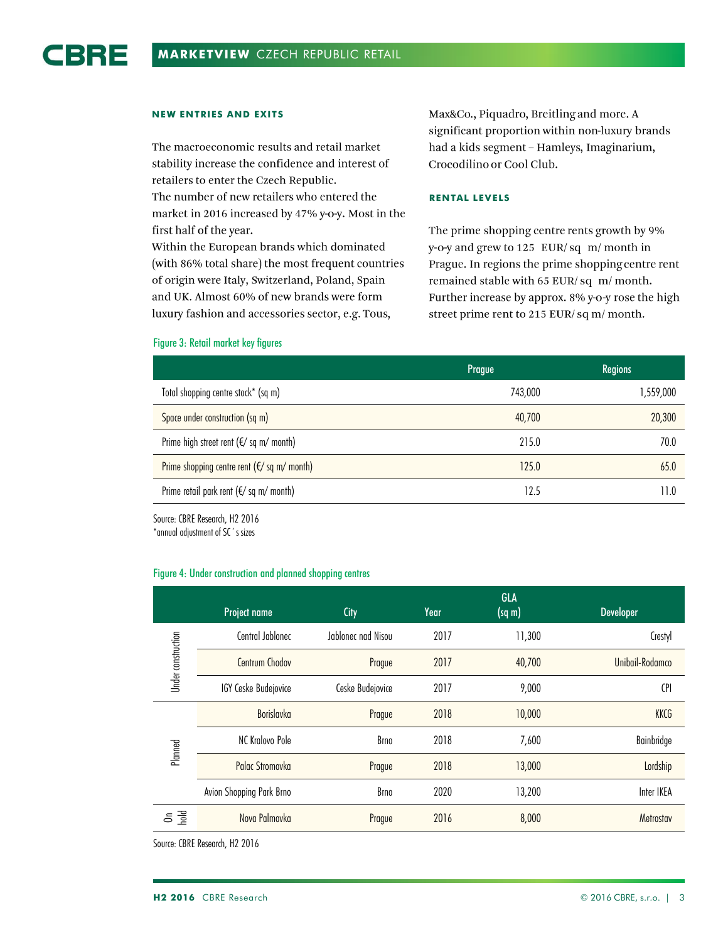# **NEW ENTRIES AND EXITS**

The macroeconomic results and retail market stability increase the confidence and interest of retailers to enter the Czech Republic. The number of new retailers who entered the market in 2016 increased by 47% y-o-y. Most in the first half of the year.

Within the European brands which dominated (with 86% total share) the most frequent countries of origin were Italy, Switzerland, Poland, Spain and UK. Almost 60% of new brands were form luxury fashion and accessories sector, e.g. Tous,

Max&Co., Piquadro, Breitling and more. A significant proportion within non-luxury brands had a kids segment - Hamleys, Imaginarium, Crocodilino or Cool Club.

### **RENTAL LEVELS**

The prime shopping centre rents growth by 9% y-o-y and grew to 125 EUR/sq m/month in Prague. In regions the prime shopping centre rent remained stable with 65 EUR/sq m/month. Further increase by approx. 8% y-o-y rose the high street prime rent to 215 EUR/sq m/ month.

|                                                    | Prague  | <b>Regions</b> |
|----------------------------------------------------|---------|----------------|
| Total shopping centre stock* (sq m)                | 743,000 | 1,559,000      |
| Space under construction (sq m)                    | 40,700  | 20,300         |
| Prime high street rent ( $\notin$ / sq m/ month)   | 215.0   | 70.0           |
| Prime shopping centre rent ( $\notin$ /sq m/month) | 125.0   | 65.0           |
| Prime retail park rent ( $\notin$ /sq m/month)     | 12.5    |                |

#### Figure 3: Retail market key figures

Source: CBRE Research, H2 2016

\*annual adjustment of SC´s sizes

#### Figure 4: Under construction and planned shopping centres

|                    | Project name             | City               | Year | <b>GLA</b><br>$(sq \, m)$ | Developer       |
|--------------------|--------------------------|--------------------|------|---------------------------|-----------------|
| Under construction | Central Jablonec         | Jablonec nad Nisou | 2017 | 11,300                    | Crestyl         |
|                    | Centrum Chodov           | Prague             | 2017 | 40,700                    | Unibail-Rodamco |
|                    | IGY Ceske Budejovice     | Ceske Budejovice   | 2017 | 9,000                     | <b>CPI</b>      |
| Planned            | Borislavka               | Prague             | 2018 | 10,000                    | KKCG            |
|                    | NC Kralovo Pole          | Brno               | 2018 | 7,600                     | Bainbridge      |
|                    | <b>Palac Stromovka</b>   | Prague             | 2018 | 13,000                    | Lordship        |
|                    | Avion Shopping Park Brno | Brno               | 2020 | 13,200                    | Inter IKEA      |
| 등 골                | Nova Palmovka            | Prague             | 2016 | 8,000                     | Metrostav       |

Source: CBRE Research, H2 2016